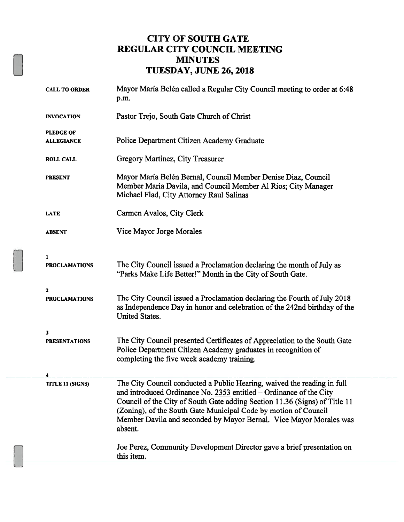#### CITY OF SOUTH GATE REGULAR CITY COUNCIL MEETING MINUTES TUESDAY, JUNE 26, 2018

| <b>CALL TO ORDER</b>                  | Mayor María Belén called a Regular City Council meeting to order at 6:48<br>p.m.                                                                                                                                                                                                                                                                                                |
|---------------------------------------|---------------------------------------------------------------------------------------------------------------------------------------------------------------------------------------------------------------------------------------------------------------------------------------------------------------------------------------------------------------------------------|
| <b>INVOCATION</b>                     | Pastor Trejo, South Gate Church of Christ                                                                                                                                                                                                                                                                                                                                       |
| <b>PLEDGE OF</b><br><b>ALLEGIANCE</b> | Police Department Citizen Academy Graduate                                                                                                                                                                                                                                                                                                                                      |
| <b>ROLL CALL</b>                      | Gregory Martinez, City Treasurer                                                                                                                                                                                                                                                                                                                                                |
| <b>PRESENT</b>                        | Mayor María Belén Bernal, Council Member Denise Diaz, Council<br>Member Maria Davila, and Council Member Al Rios; City Manager<br>Michael Flad, City Attorney Raul Salinas                                                                                                                                                                                                      |
| <b>LATE</b>                           | Carmen Avalos, City Clerk                                                                                                                                                                                                                                                                                                                                                       |
| <b>ABSENT</b>                         | Vice Mayor Jorge Morales                                                                                                                                                                                                                                                                                                                                                        |
| 1                                     |                                                                                                                                                                                                                                                                                                                                                                                 |
| <b>PROCLAMATIONS</b>                  | The City Council issued a Proclamation declaring the month of July as<br>"Parks Make Life Better!" Month in the City of South Gate.                                                                                                                                                                                                                                             |
| $\mathbf{z}$<br><b>PROCLAMATIONS</b>  | The City Council issued a Proclamation declaring the Fourth of July 2018<br>as Independence Day in honor and celebration of the 242nd birthday of the<br>United States.                                                                                                                                                                                                         |
| 3                                     |                                                                                                                                                                                                                                                                                                                                                                                 |
| <b>PRESENTATIONS</b>                  | The City Council presented Certificates of Appreciation to the South Gate<br>Police Department Citizen Academy graduates in recognition of<br>completing the five week academy training.                                                                                                                                                                                        |
| 4                                     |                                                                                                                                                                                                                                                                                                                                                                                 |
| <b>TITLE 11 (SIGNS)</b>               | The City Council conducted a Public Hearing, waived the reading in full<br>and introduced Ordinance No. 2353 entitled - Ordinance of the City<br>Council of the City of South Gate adding Section 11.36 (Signs) of Title 11<br>(Zoning), of the South Gate Municipal Code by motion of Council<br>Member Davila and seconded by Mayor Bernal. Vice Mayor Morales was<br>absent. |
|                                       | Joe Perez, Community Development Director gave a brief presentation on<br>this item.                                                                                                                                                                                                                                                                                            |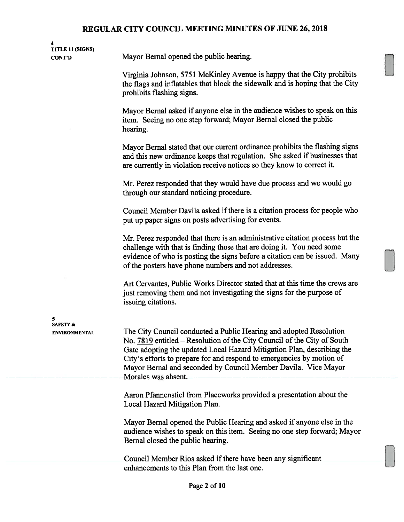4 TITLE 11 (SIGNS)

CONT'D Mayor Bernal opened the public hearing.

Virginia Johnson, 5751 McKinley Avenue is happy that the City prohibits the flags and inflatables that block the sidewalk and is hoping that the City prohibits flashing signs.

Mayor Bernal asked if anyone else in the audience wishes to speak on this item. Seeing no one step forward; Mayor Bemal closed the public hearing.

Mayor Bemal stated that our current ordinance prohibits the flashing signs and this new ordinance keeps that regulation. She asked if businesses that are currently in violation receive notices so they know to correct it.

Mr. Perez responded that they would have due process and we would go through our standard noticing procedure.

Council Member Davila asked if there is a citation process for people who put up paper signs on posts advertising for events.

Mr. Perez responded that there is an administrative citation process but the challenge with that is finding those that are doing it. You need some evidence of who is posting the signs before a citation can be issued. Many of the posters have phone numbers and not addresses.

Art Cervantes, Public Works Director stated that at this time the crews are just removing them and not investigating the signs for the purpose of issuing citations.

5 SAFETY &

----- --

ENVIRONMENTAL The City Council conducted a Public Hearing and adopted Resolution No. 7819 entitled – Resolution of the City Council of the City of South Gate adopting the updated Local Hazard Mitigation Plan, describing the City's efforts to prepare for and respond to emergencies by motion of Mayor Bernal and seconded by Council Member Davila. Vice Mayor<br>— --- Morales was absent.

> Aaron Pfannenstiel from Placeworks provided a presentation about the Local Hazard Mitigation Plan.

Mayor Bemai opened the Public Hearing and asked if anyone else in the audience wishes to speak on this item. Seeing no one step forward; Mayor Bernal closed the public hearing.

Council Member Rios asked if there have been any significant enhancements to this Plan from the last one.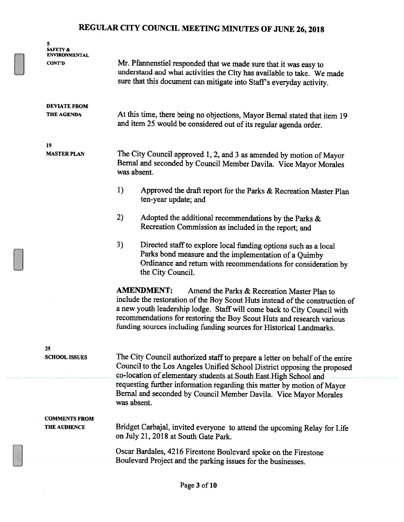| 5<br><b>SAFETY &amp;</b><br>ENVIRONMENTAL<br>CONT'D | Mr. Pfannenstiel responded that we made sure that it was easy to<br>understand and what activities the City has available to take. We made<br>sure that this document can mitigate into Staff's everyday activity.                                                                                                                                                          |  |
|-----------------------------------------------------|-----------------------------------------------------------------------------------------------------------------------------------------------------------------------------------------------------------------------------------------------------------------------------------------------------------------------------------------------------------------------------|--|
| <b>DEVIATE FROM</b><br>THE AGENDA                   | At this time, there being no objections, Mayor Bernal stated that item 19<br>and item 25 would be considered out of its regular agenda order.                                                                                                                                                                                                                               |  |
| 19<br><b>MASTER PLAN</b>                            | The City Council approved 1, 2, and 3 as amended by motion of Mayor<br>Bernal and seconded by Council Member Davila. Vice Mayor Morales<br>was absent.                                                                                                                                                                                                                      |  |
|                                                     | 1)<br>Approved the draft report for the Parks & Recreation Master Plan<br>ten-year update; and                                                                                                                                                                                                                                                                              |  |
|                                                     | 2)<br>Adopted the additional recommendations by the Parks &<br>Recreation Commission as included in the report; and                                                                                                                                                                                                                                                         |  |
|                                                     | 3)<br>Directed staff to explore local funding options such as a local<br>Parks bond measure and the implementation of a Quimby<br>Ordinance and return with recommendations for consideration by<br>the City Council.                                                                                                                                                       |  |
|                                                     | <b>AMENDMENT:</b><br>Amend the Parks & Recreation Master Plan to<br>include the restoration of the Boy Scout Huts instead of the construction of<br>a new youth leadership lodge. Staff will come back to City Council with<br>recommendations for restoring the Boy Scout Huts and research various<br>funding sources including funding sources for Historical Landmarks. |  |
| 25<br><b>SCHOOL ISSUES</b>                          | The City Council authorized staff to prepare a letter on behalf of the entire<br>Council to the Los Angeles Unified School District opposing the proposed<br>co-location of elementary students at South East High School and                                                                                                                                               |  |
|                                                     | requesting further information regarding this matter by motion of Mayor<br>Bernal and seconded by Council Member Davila. Vice Mayor Morales<br>was absent.                                                                                                                                                                                                                  |  |
| <b>COMMENTS FROM</b><br><b>THE AUDIENCE</b>         | Bridget Carbajal, invited everyone to attend the upcoming Relay for Life<br>on July 21, 2018 at South Gate Park.                                                                                                                                                                                                                                                            |  |
|                                                     | Oscar Bardales, 4216 Firestone Boulevard spoke on the Firestone<br>Boulevard Project and the parking issues for the businesses.                                                                                                                                                                                                                                             |  |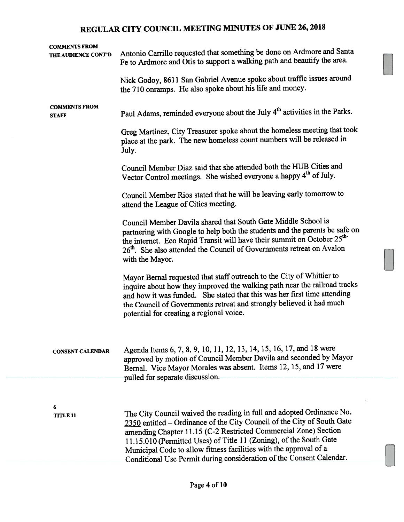| Antonio Carrillo requested that something be done on Ardmore and Santa<br>Fe to Ardmore and Otis to support a walking path and beautify the area.                                                                                                                                                                                                                                                                                      |
|----------------------------------------------------------------------------------------------------------------------------------------------------------------------------------------------------------------------------------------------------------------------------------------------------------------------------------------------------------------------------------------------------------------------------------------|
| Nick Godoy, 8611 San Gabriel Avenue spoke about traffic issues around<br>the 710 onramps. He also spoke about his life and money.                                                                                                                                                                                                                                                                                                      |
| Paul Adams, reminded everyone about the July 4 <sup>th</sup> activities in the Parks.                                                                                                                                                                                                                                                                                                                                                  |
| Greg Martinez, City Treasurer spoke about the homeless meeting that took<br>place at the park. The new homeless count numbers will be released in<br>July.                                                                                                                                                                                                                                                                             |
| Council Member Diaz said that she attended both the HUB Cities and<br>Vector Control meetings. She wished everyone a happy 4 <sup>th</sup> of July.                                                                                                                                                                                                                                                                                    |
| Council Member Rios stated that he will be leaving early tomorrow to<br>attend the League of Cities meeting.                                                                                                                                                                                                                                                                                                                           |
| Council Member Davila shared that South Gate Middle School is<br>partnering with Google to help both the students and the parents be safe on<br>the internet. Eco Rapid Transit will have their summit on October 25 <sup>th-</sup><br>26th. She also attended the Council of Governments retreat on Avalon<br>with the Mayor.                                                                                                         |
| Mayor Bernal requested that staff outreach to the City of Whittier to<br>inquire about how they improved the walking path near the railroad tracks<br>and how it was funded. She stated that this was her first time attending<br>the Council of Governments retreat and strongly believed it had much<br>potential for creating a regional voice.                                                                                     |
| Agenda Items 6, 7, 8, 9, 10, 11, 12, 13, 14, 15, 16, 17, and 18 were<br>approved by motion of Council Member Davila and seconded by Mayor<br>Bernal. Vice Mayor Morales was absent. Items 12, 15, and 17 were<br>pulled for separate discussion.                                                                                                                                                                                       |
|                                                                                                                                                                                                                                                                                                                                                                                                                                        |
| The City Council waived the reading in full and adopted Ordinance No.<br>2350 entitled – Ordinance of the City Council of the City of South Gate<br>amending Chapter 11.15 (C-2 Restricted Commercial Zone) Section<br>11.15.010 (Permitted Uses) of Title 11 (Zoning), of the South Gate<br>Municipal Code to allow fitness facilities with the approval of a<br>Conditional Use Permit during consideration of the Consent Calendar. |
|                                                                                                                                                                                                                                                                                                                                                                                                                                        |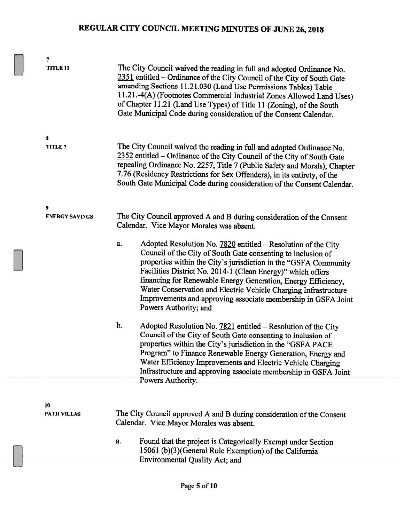| 7<br><b>TITLE 11</b>     |    | The City Council waived the reading in full and adopted Ordinance No.<br>2351 entitled – Ordinance of the City Council of the City of South Gate<br>amending Sections 11.21.030 (Land Use Permissions Tables) Table<br>11.21.-4(A) (Footnotes Commercial Industrial Zones Allowed Land Uses)<br>of Chapter 11.21 (Land Use Types) of Title 11 (Zoning), of the South<br>Gate Municipal Code during consideration of the Consent Calendar.                                                      |
|--------------------------|----|------------------------------------------------------------------------------------------------------------------------------------------------------------------------------------------------------------------------------------------------------------------------------------------------------------------------------------------------------------------------------------------------------------------------------------------------------------------------------------------------|
| 8                        |    |                                                                                                                                                                                                                                                                                                                                                                                                                                                                                                |
| <b>TITLE 7</b>           |    | The City Council waived the reading in full and adopted Ordinance No.<br>2352 entitled - Ordinance of the City Council of the City of South Gate<br>repealing Ordinance No. 2257, Title 7 (Public Safety and Morals), Chapter<br>7.76 (Residency Restrictions for Sex Offenders), in its entirety, of the<br>South Gate Municipal Code during consideration of the Consent Calendar.                                                                                                           |
| 9                        |    |                                                                                                                                                                                                                                                                                                                                                                                                                                                                                                |
| <b>ENERGY SAVINGS</b>    |    | The City Council approved A and B during consideration of the Consent<br>Calendar. Vice Mayor Morales was absent.                                                                                                                                                                                                                                                                                                                                                                              |
|                          | a. | Adopted Resolution No. 7820 entitled - Resolution of the City<br>Council of the City of South Gate consenting to inclusion of<br>properties within the City's jurisdiction in the "GSFA Community<br>Facilities District No. 2014-1 (Clean Energy)" which offers<br>financing for Renewable Energy Generation, Energy Efficiency,<br>Water Conservation and Electric Vehicle Charging Infrastructure<br>Improvements and approving associate membership in GSFA Joint<br>Powers Authority; and |
|                          | b. | Adopted Resolution No. 7821 entitled - Resolution of the City<br>Council of the City of South Gate consenting to inclusion of<br>properties within the City's jurisdiction in the "GSFA PACE<br>Program" to Finance Renewable Energy Generation, Energy and<br>Water Efficiency Improvements and Electric Vehicle Charging<br>Infrastructure and approving associate membership in GSFA Joint                                                                                                  |
|                          |    | Powers Authority.                                                                                                                                                                                                                                                                                                                                                                                                                                                                              |
|                          |    |                                                                                                                                                                                                                                                                                                                                                                                                                                                                                                |
| 10<br><b>PATH VILLAS</b> |    | The City Council approved A and B during consideration of the Consent<br>Calendar. Vice Mayor Morales was absent.                                                                                                                                                                                                                                                                                                                                                                              |
|                          | a. | Found that the project is Categorically Exempt under Section<br>15061 (b)(3)(General Rule Exemption) of the California<br><b>Environmental Quality Act; and</b>                                                                                                                                                                                                                                                                                                                                |
|                          |    |                                                                                                                                                                                                                                                                                                                                                                                                                                                                                                |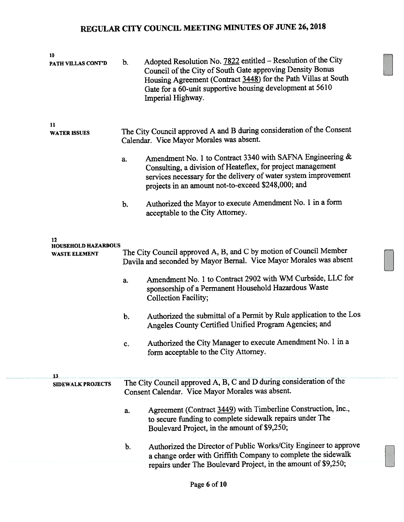| 10<br>PATH VILLAS CONT'D                                 | b. | Adopted Resolution No. 7822 entitled - Resolution of the City<br>Council of the City of South Gate approving Density Bonus<br>Housing Agreement (Contract 3448) for the Path Villas at South<br>Gate for a 60-unit supportive housing development at 5610<br>Imperial Highway. |
|----------------------------------------------------------|----|--------------------------------------------------------------------------------------------------------------------------------------------------------------------------------------------------------------------------------------------------------------------------------|
| 11<br><b>WATER ISSUES</b>                                |    | The City Council approved A and B during consideration of the Consent<br>Calendar. Vice Mayor Morales was absent.                                                                                                                                                              |
|                                                          | a. | Amendment No. 1 to Contract 3340 with SAFNA Engineering &<br>Consulting, a division of Heateflex, for project management<br>services necessary for the delivery of water system improvement<br>projects in an amount not-to-exceed \$248,000; and                              |
|                                                          | b. | Authorized the Mayor to execute Amendment No. 1 in a form<br>acceptable to the City Attorney.                                                                                                                                                                                  |
| 12<br><b>HOUSEHOLD HAZARDOUS</b><br><b>WASTE ELEMENT</b> |    | The City Council approved A, B, and C by motion of Council Member<br>Davila and seconded by Mayor Bernal. Vice Mayor Morales was absent                                                                                                                                        |
|                                                          | a. | Amendment No. 1 to Contract 2902 with WM Curbside, LLC for<br>sponsorship of a Permanent Household Hazardous Waste<br><b>Collection Facility;</b>                                                                                                                              |
|                                                          | b. | Authorized the submittal of a Permit by Rule application to the Los<br>Angeles County Certified Unified Program Agencies; and                                                                                                                                                  |
|                                                          | c. | Authorized the City Manager to execute Amendment No. 1 in a<br>form acceptable to the City Attorney.                                                                                                                                                                           |
| 13<br><b>SIDEWALK PROJECTS</b>                           |    | The City Council approved A, B, C and D during consideration of the<br>Consent Calendar. Vice Mayor Morales was absent.                                                                                                                                                        |
|                                                          | a. | Agreement (Contract 3449) with Timberline Construction, Inc.,<br>to secure funding to complete sidewalk repairs under The<br>Boulevard Project, in the amount of \$9,250;                                                                                                      |
|                                                          | b. | Authorized the Director of Public Works/City Engineer to approve<br>a change order with Griffith Company to complete the sidewalk<br>repairs under The Boulevard Project, in the amount of \$9,250;                                                                            |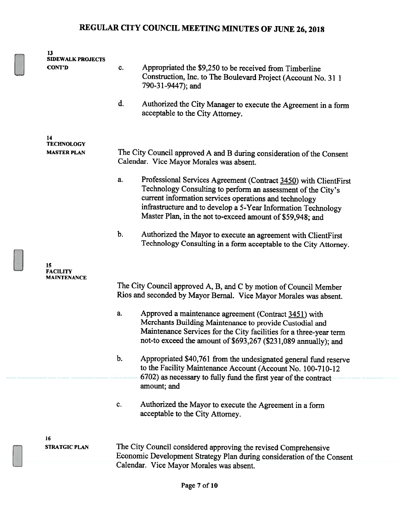| 13<br><b>SIDEWALK PROJECTS</b> |               |                                                                                                                                                                                                                                                                                                                          |
|--------------------------------|---------------|--------------------------------------------------------------------------------------------------------------------------------------------------------------------------------------------------------------------------------------------------------------------------------------------------------------------------|
| <b>CONT'D</b>                  | c.            | Appropriated the \$9,250 to be received from Timberline<br>Construction, Inc. to The Boulevard Project (Account No. 31 1<br>790-31-9447); and                                                                                                                                                                            |
|                                | d.            | Authorized the City Manager to execute the Agreement in a form<br>acceptable to the City Attorney.                                                                                                                                                                                                                       |
| 14<br><b>TECHNOLOGY</b>        |               |                                                                                                                                                                                                                                                                                                                          |
| <b>MASTER PLAN</b>             |               | The City Council approved A and B during consideration of the Consent<br>Calendar. Vice Mayor Morales was absent.                                                                                                                                                                                                        |
|                                | a.            | Professional Services Agreement (Contract 3450) with ClientFirst<br>Technology Consulting to perform an assessment of the City's<br>current information services operations and technology<br>infrastructure and to develop a 5-Year Information Technology<br>Master Plan, in the not to-exceed amount of \$59,948; and |
|                                | $\mathbf b$ . | Authorized the Mayor to execute an agreement with ClientFirst<br>Technology Consulting in a form acceptable to the City Attorney.                                                                                                                                                                                        |
| 15<br><b>FACILITY</b>          |               |                                                                                                                                                                                                                                                                                                                          |
| MAINTENANCE                    |               | The City Council approved A, B, and C by motion of Council Member<br>Rios and seconded by Mayor Bernal. Vice Mayor Morales was absent.                                                                                                                                                                                   |
|                                | a.            | Approved a maintenance agreement (Contract 3451) with<br>Merchants Building Maintenance to provide Custodial and<br>Maintenance Services for the City facilities for a three-year term<br>not-to exceed the amount of \$693,267 (\$231,089 annually); and                                                                |
|                                | $b$ .         | Appropriated \$40,761 from the undesignated general fund reserve<br>to the Facility Maintenance Account (Account No. 100-710-12<br>6702) as necessary to fully fund the first year of the contract<br>amount; and                                                                                                        |
|                                | C.            | Authorized the Mayor to execute the Agreement in a form<br>acceptable to the City Attorney.                                                                                                                                                                                                                              |
| 16<br><b>STRATGIC PLAN</b>     |               | The City Council considered approving the revised Comprehensive                                                                                                                                                                                                                                                          |
|                                |               | Economic Development Strategy Plan during consideration of the Consent<br>Calendar. Vice Mayor Morales was absent.                                                                                                                                                                                                       |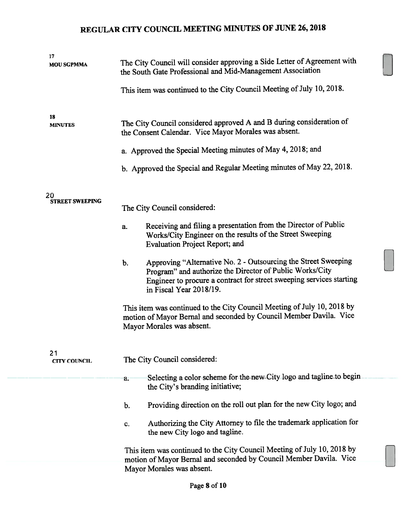| 17<br><b>MOU SGPMMA</b>      | The City Council will consider approving a Side Letter of Agreement with<br>the South Gate Professional and Mid-Management Association                                                                                              |
|------------------------------|-------------------------------------------------------------------------------------------------------------------------------------------------------------------------------------------------------------------------------------|
|                              | This item was continued to the City Council Meeting of July 10, 2018.                                                                                                                                                               |
| 18<br><b>MINUTES</b>         | The City Council considered approved A and B during consideration of<br>the Consent Calendar. Vice Mayor Morales was absent.                                                                                                        |
|                              | a. Approved the Special Meeting minutes of May 4, 2018; and                                                                                                                                                                         |
|                              | b. Approved the Special and Regular Meeting minutes of May 22, 2018.                                                                                                                                                                |
| 20<br><b>STREET SWEEPING</b> | The City Council considered:                                                                                                                                                                                                        |
|                              | Receiving and filing a presentation from the Director of Public<br>a.<br>Works/City Engineer on the results of the Street Sweeping<br><b>Evaluation Project Report; and</b>                                                         |
|                              | Approving "Alternative No. 2 - Outsourcing the Street Sweeping<br>b.<br>Program" and authorize the Director of Public Works/City<br>Engineer to procure a contract for street sweeping services starting<br>in Fiscal Year 2018/19. |
|                              | This item was continued to the City Council Meeting of July 10, 2018 by<br>motion of Mayor Bernal and seconded by Council Member Davila. Vice<br>Mayor Morales was absent.                                                          |
| 21<br><b>CITY COUNCIL</b>    | The City Council considered:                                                                                                                                                                                                        |
|                              | Selecting a color scheme for the new City logo and tagline to begin<br>a.<br>the City's branding initiative;                                                                                                                        |
|                              | Providing direction on the roll out plan for the new City logo; and<br>b.                                                                                                                                                           |
|                              | Authorizing the City Attorney to file the trademark application for<br>c.<br>the new City logo and tagline.                                                                                                                         |
|                              | This item was continued to the City Council Meeting of July 10, 2018 by<br>motion of Mayor Bernal and seconded by Council Member Davila. Vice<br>Mayor Morales was absent.                                                          |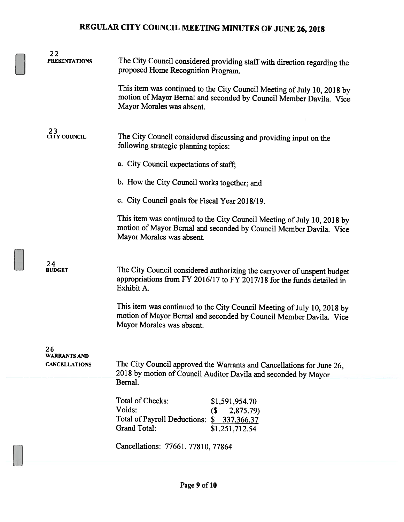| 22<br><b>PRESENTATIONS</b> | The City Council considered providing staff with direction regarding the<br>proposed Home Recognition Program.                                                             |
|----------------------------|----------------------------------------------------------------------------------------------------------------------------------------------------------------------------|
|                            | This item was continued to the City Council Meeting of July 10, 2018 by<br>motion of Mayor Bernal and seconded by Council Member Davila. Vice<br>Mayor Morales was absent. |
| 23<br>CITY COUNCIL         | The City Council considered discussing and providing input on the<br>following strategic planning topics:                                                                  |
|                            | a. City Council expectations of staff;                                                                                                                                     |
|                            | b. How the City Council works together; and                                                                                                                                |
|                            | c. City Council goals for Fiscal Year 2018/19.                                                                                                                             |
|                            | This item was continued to the City Council Meeting of July 10, 2018 by<br>motion of Mayor Bernal and seconded by Council Member Davila. Vice<br>Mayor Morales was absent. |
| 24<br><b>BUDGET</b>        | The City Council considered authorizing the carryover of unspent budget<br>appropriations from FY 2016/17 to FY 2017/18 for the funds detailed in<br>Exhibit A.            |
|                            | This item was continued to the City Council Meeting of July 10, 2018 by<br>motion of Mayor Bernal and seconded by Council Member Davila. Vice<br>Mayor Morales was absent. |
| 26<br><b>WARRANTS AND</b>  |                                                                                                                                                                            |
| <b>CANCELLATIONS</b>       | The City Council approved the Warrants and Cancellations for June 26,<br>2018 by motion of Council Auditor Davila and seconded by Mayor                                    |
|                            | Bernal.                                                                                                                                                                    |
|                            | Total of Checks:<br>\$1,591,954.70<br>Voids:<br>(\$<br>2,875.79)                                                                                                           |
|                            | Total of Payroll Deductions:<br>\$337,366.37<br><b>Grand Total:</b><br>\$1,251,712.54                                                                                      |
|                            | Cancellations: 77661, 77810, 77864                                                                                                                                         |
|                            |                                                                                                                                                                            |